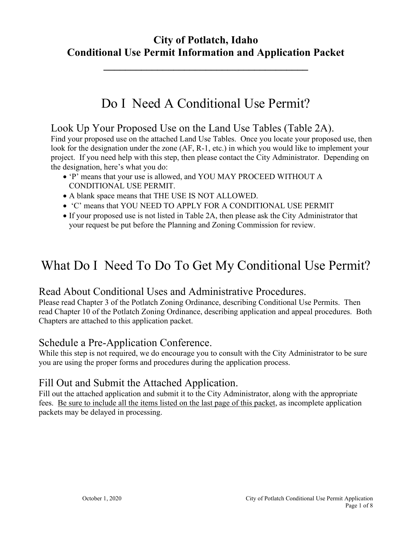# **City of Potlatch, Idaho Conditional Use Permit Information and Application Packet**

**\_\_\_\_\_\_\_\_\_\_\_\_\_\_\_\_\_\_\_\_\_\_\_\_\_\_\_\_\_\_\_\_\_\_\_\_\_\_**

# Do I Need A Conditional Use Permit?

### Look Up Your Proposed Use on the Land Use Tables (Table 2A).

Find your proposed use on the attached Land Use Tables. Once you locate your proposed use, then look for the designation under the zone (AF, R-1, etc.) in which you would like to implement your project. If you need help with this step, then please contact the City Administrator. Depending on the designation, here's what you do:

- 'P' means that your use is allowed, and YOU MAY PROCEED WITHOUT A CONDITIONAL USE PERMIT.
- A blank space means that THE USE IS NOT ALLOWED.
- 'C' means that YOU NEED TO APPLY FOR A CONDITIONAL USE PERMIT
- If your proposed use is not listed in Table 2A, then please ask the City Administrator that your request be put before the Planning and Zoning Commission for review.

# What Do I Need To Do To Get My Conditional Use Permit?

### Read About Conditional Uses and Administrative Procedures.

Please read Chapter 3 of the Potlatch Zoning Ordinance, describing Conditional Use Permits. Then read Chapter 10 of the Potlatch Zoning Ordinance, describing application and appeal procedures. Both Chapters are attached to this application packet.

### Schedule a Pre-Application Conference.

While this step is not required, we do encourage you to consult with the City Administrator to be sure you are using the proper forms and procedures during the application process.

## Fill Out and Submit the Attached Application.

Fill out the attached application and submit it to the City Administrator, along with the appropriate fees. Be sure to include all the items listed on the last page of this packet, as incomplete application packets may be delayed in processing.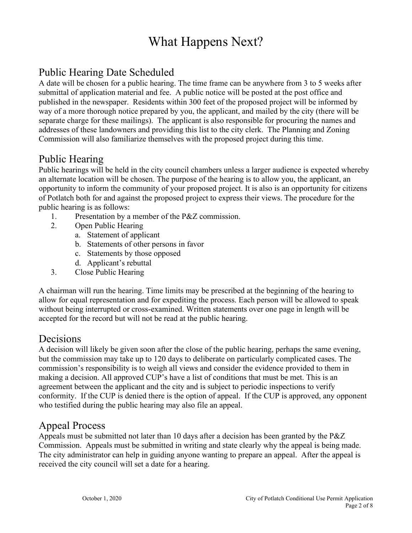# What Happens Next?

# Public Hearing Date Scheduled

A date will be chosen for a public hearing. The time frame can be anywhere from 3 to 5 weeks after submittal of application material and fee. A public notice will be posted at the post office and published in the newspaper. Residents within 300 feet of the proposed project will be informed by way of a more thorough notice prepared by you, the applicant, and mailed by the city (there will be separate charge for these mailings). The applicant is also responsible for procuring the names and addresses of these landowners and providing this list to the city clerk. The Planning and Zoning Commission will also familiarize themselves with the proposed project during this time.

# Public Hearing

Public hearings will be held in the city council chambers unless a larger audience is expected whereby an alternate location will be chosen. The purpose of the hearing is to allow you, the applicant, an opportunity to inform the community of your proposed project. It is also is an opportunity for citizens of Potlatch both for and against the proposed project to express their views. The procedure for the public hearing is as follows:

- 1. Presentation by a member of the P&Z commission.
- 2. Open Public Hearing
	- a. Statement of applicant
	- b. Statements of other persons in favor
	- c. Statements by those opposed
	- d. Applicant's rebuttal
- 3. Close Public Hearing

A chairman will run the hearing. Time limits may be prescribed at the beginning of the hearing to allow for equal representation and for expediting the process. Each person will be allowed to speak without being interrupted or cross-examined. Written statements over one page in length will be accepted for the record but will not be read at the public hearing.

## Decisions

A decision will likely be given soon after the close of the public hearing, perhaps the same evening, but the commission may take up to 120 days to deliberate on particularly complicated cases. The commission's responsibility is to weigh all views and consider the evidence provided to them in making a decision. All approved CUP's have a list of conditions that must be met. This is an agreement between the applicant and the city and is subject to periodic inspections to verify conformity. If the CUP is denied there is the option of appeal. If the CUP is approved, any opponent who testified during the public hearing may also file an appeal.

### Appeal Process

Appeals must be submitted not later than 10 days after a decision has been granted by the P&Z Commission. Appeals must be submitted in writing and state clearly why the appeal is being made. The city administrator can help in guiding anyone wanting to prepare an appeal. After the appeal is received the city council will set a date for a hearing.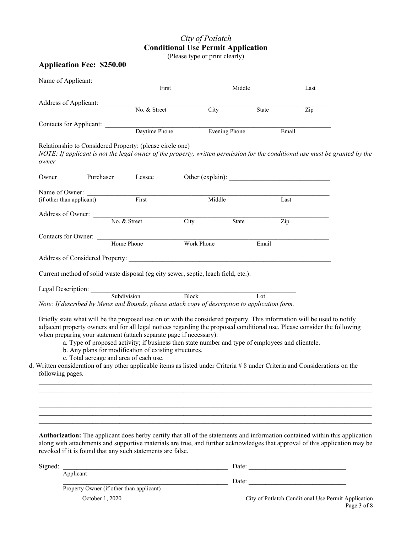## *City of Potlatch* **Conditional Use Permit Application**

(Please type or print clearly)

#### **Application Fee: \$250.00**

|                  | Name of Applicant:                     | First                                                                                                                                                                                                                                                                                                                                                                                                                         |                         | Middle                  | Last  |  |
|------------------|----------------------------------------|-------------------------------------------------------------------------------------------------------------------------------------------------------------------------------------------------------------------------------------------------------------------------------------------------------------------------------------------------------------------------------------------------------------------------------|-------------------------|-------------------------|-------|--|
|                  |                                        |                                                                                                                                                                                                                                                                                                                                                                                                                               |                         |                         |       |  |
|                  |                                        | Address of Applicant: No. & Street                                                                                                                                                                                                                                                                                                                                                                                            | $\frac{1}{\text{City}}$ | State                   | Zip   |  |
|                  |                                        | Contacts for Applicant: Daytime Phone                                                                                                                                                                                                                                                                                                                                                                                         |                         |                         |       |  |
|                  |                                        |                                                                                                                                                                                                                                                                                                                                                                                                                               |                         | Evening Phone           | Email |  |
| owner            |                                        | Relationship to Considered Property: (please circle one)<br>NOTE: If applicant is not the legal owner of the property, written permission for the conditional use must be granted by the                                                                                                                                                                                                                                      |                         |                         |       |  |
| Owner            | Purchaser                              | Lessee                                                                                                                                                                                                                                                                                                                                                                                                                        |                         | Other (explain):        |       |  |
|                  |                                        | Name of Owner:<br><i>(if other than annlicant)</i> First                                                                                                                                                                                                                                                                                                                                                                      |                         |                         |       |  |
|                  |                                        |                                                                                                                                                                                                                                                                                                                                                                                                                               | Middle                  |                         | Last  |  |
|                  |                                        | Address of Owner: No. & Street                                                                                                                                                                                                                                                                                                                                                                                                | City                    | State                   | Zip   |  |
|                  |                                        |                                                                                                                                                                                                                                                                                                                                                                                                                               |                         |                         |       |  |
|                  |                                        | Contacts for Owner: Home Phone Work Phone                                                                                                                                                                                                                                                                                                                                                                                     |                         | Email                   |       |  |
|                  |                                        | Address of Considered Property: North Constantinoperation of Considered Property:                                                                                                                                                                                                                                                                                                                                             |                         |                         |       |  |
|                  |                                        | Current method of solid waste disposal (eg city sewer, septic, leach field, etc.):                                                                                                                                                                                                                                                                                                                                            |                         |                         |       |  |
|                  |                                        | Legal Description: Subdivision Block                                                                                                                                                                                                                                                                                                                                                                                          |                         |                         |       |  |
|                  |                                        | Note: If described by Metes and Bounds, please attach copy of description to application form.                                                                                                                                                                                                                                                                                                                                |                         | $\overline{\text{Lot}}$ |       |  |
|                  |                                        |                                                                                                                                                                                                                                                                                                                                                                                                                               |                         |                         |       |  |
|                  |                                        | Briefly state what will be the proposed use on or with the considered property. This information will be used to notify<br>adjacent property owners and for all legal notices regarding the proposed conditional use. Please consider the following<br>when preparing your statement (attach separate page if necessary):<br>a. Type of proposed activity; if business then state number and type of employees and clientele. |                         |                         |       |  |
|                  |                                        | b. Any plans for modification of existing structures.                                                                                                                                                                                                                                                                                                                                                                         |                         |                         |       |  |
|                  |                                        |                                                                                                                                                                                                                                                                                                                                                                                                                               |                         |                         |       |  |
| following pages. | c. Total acreage and area of each use. | d. Written consideration of any other applicable items as listed under Criteria # 8 under Criteria and Considerations on the                                                                                                                                                                                                                                                                                                  |                         |                         |       |  |

**Authorization:** The applicant does herby certify that all of the statements and information contained within this application along with attachments and supportive materials are true, and further acknowledges that approval of this application may be revoked if it is found that any such statements are false.

\_\_\_\_\_\_\_\_\_\_\_\_\_\_\_\_\_\_\_\_\_\_\_\_\_\_\_\_\_\_\_\_\_\_\_\_\_\_\_\_\_\_\_\_\_\_\_\_\_\_\_\_\_\_\_\_\_\_\_\_\_\_\_\_\_\_\_\_\_\_\_\_\_\_\_\_\_\_\_\_\_\_\_\_\_\_\_\_\_\_\_\_\_\_\_\_\_\_\_  $\mathcal{L}_\mathcal{L} = \mathcal{L}_\mathcal{L} = \mathcal{L}_\mathcal{L} = \mathcal{L}_\mathcal{L} = \mathcal{L}_\mathcal{L} = \mathcal{L}_\mathcal{L} = \mathcal{L}_\mathcal{L} = \mathcal{L}_\mathcal{L} = \mathcal{L}_\mathcal{L} = \mathcal{L}_\mathcal{L} = \mathcal{L}_\mathcal{L} = \mathcal{L}_\mathcal{L} = \mathcal{L}_\mathcal{L} = \mathcal{L}_\mathcal{L} = \mathcal{L}_\mathcal{L} = \mathcal{L}_\mathcal{L} = \mathcal{L}_\mathcal{L}$ 

| Signed: |                                                 | Date: |  |  |
|---------|-------------------------------------------------|-------|--|--|
|         | Applicant                                       |       |  |  |
|         |                                                 | Date: |  |  |
|         | <b>Property Owner (if other than applicant)</b> |       |  |  |

Property Owner (if other than applicant)

October 1, 2020 City of Potlatch Conditional Use Permit Application Page 3 of 8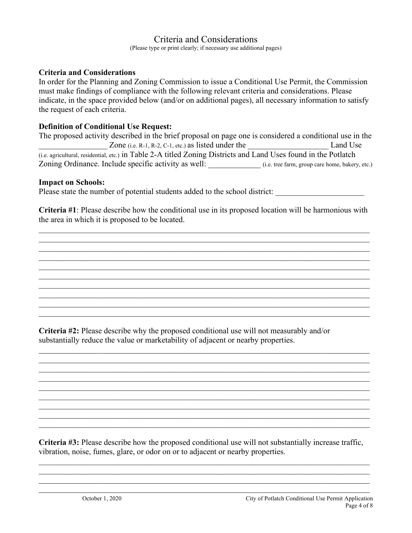### Criteria and Considerations

(Please type or print clearly; if necessary use additional pages)

#### **Criteria and Considerations**

In order for the Planning and Zoning Commission to issue a Conditional Use Permit, the Commission must make findings of compliance with the following relevant criteria and considerations. Please indicate, in the space provided below (and/or on additional pages), all necessary information to satisfy the request of each criteria.

#### **Definition of Conditional Use Request:**

| The proposed activity described in the brief proposal on page one is considered a conditional use in the        |                                                 |  |  |  |
|-----------------------------------------------------------------------------------------------------------------|-------------------------------------------------|--|--|--|
| Zone (i.e. R-1, R-2, C-1, etc.) as listed under the                                                             | Land Use                                        |  |  |  |
| (i.e. agricultural, residential, etc.) in Table 2-A titled Zoning Districts and Land Uses found in the Potlatch |                                                 |  |  |  |
| Zoning Ordinance. Include specific activity as well:                                                            | (i.e. tree farm, group care home, bakery, etc.) |  |  |  |

#### **Impact on Schools:**

Please state the number of potential students added to the school district:

**Criteria #1**: Please describe how the conditional use in its proposed location will be harmonious with the area in which it is proposed to be located.

\_\_\_\_\_\_\_\_\_\_\_\_\_\_\_\_\_\_\_\_\_\_\_\_\_\_\_\_\_\_\_\_\_\_\_\_\_\_\_\_\_\_\_\_\_\_\_\_\_\_\_\_\_\_\_\_\_\_\_\_\_\_\_\_\_\_\_\_\_\_\_\_\_\_\_\_\_\_\_\_\_\_

\_\_\_\_\_\_\_\_\_\_\_\_\_\_\_\_\_\_\_\_\_\_\_\_\_\_\_\_\_\_\_\_\_\_\_\_\_\_\_\_\_\_\_\_\_\_\_\_\_\_\_\_\_\_\_\_\_\_\_\_\_\_\_\_\_\_\_\_\_\_\_\_\_\_\_\_\_\_\_\_\_\_

\_\_\_\_\_\_\_\_\_\_\_\_\_\_\_\_\_\_\_\_\_\_\_\_\_\_\_\_\_\_\_\_\_\_\_\_\_\_\_\_\_\_\_\_\_\_\_\_\_\_\_\_\_\_\_\_\_\_\_\_\_\_\_\_\_\_\_\_\_\_\_\_\_\_\_\_\_\_\_\_\_\_ \_\_\_\_\_\_\_\_\_\_\_\_\_\_\_\_\_\_\_\_\_\_\_\_\_\_\_\_\_\_\_\_\_\_\_\_\_\_\_\_\_\_\_\_\_\_\_\_\_\_\_\_\_\_\_\_\_\_\_\_\_\_\_\_\_\_\_\_\_\_\_\_\_\_\_\_\_\_\_\_\_\_

\_\_\_\_\_\_\_\_\_\_\_\_\_\_\_\_\_\_\_\_\_\_\_\_\_\_\_\_\_\_\_\_\_\_\_\_\_\_\_\_\_\_\_\_\_\_\_\_\_\_\_\_\_\_\_\_\_\_\_\_\_\_\_\_\_\_\_\_\_\_\_\_\_\_\_\_\_\_\_\_\_\_

\_\_\_\_\_\_\_\_\_\_\_\_\_\_\_\_\_\_\_\_\_\_\_\_\_\_\_\_\_\_\_\_\_\_\_\_\_\_\_\_\_\_\_\_\_\_\_\_\_\_\_\_\_\_\_\_\_\_\_\_\_\_\_\_\_\_\_\_\_\_\_\_\_\_\_\_\_\_\_\_\_\_

\_\_\_\_\_\_\_\_\_\_\_\_\_\_\_\_\_\_\_\_\_\_\_\_\_\_\_\_\_\_\_\_\_\_\_\_\_\_\_\_\_\_\_\_\_\_\_\_\_\_\_\_\_\_\_\_\_\_\_\_\_\_\_\_\_\_\_\_\_\_\_\_\_\_\_\_\_\_\_\_\_\_ \_\_\_\_\_\_\_\_\_\_\_\_\_\_\_\_\_\_\_\_\_\_\_\_\_\_\_\_\_\_\_\_\_\_\_\_\_\_\_\_\_\_\_\_\_\_\_\_\_\_\_\_\_\_\_\_\_\_\_\_\_\_\_\_\_\_\_\_\_\_\_\_\_\_\_\_\_\_\_\_\_\_

\_\_\_\_\_\_\_\_\_\_\_\_\_\_\_\_\_\_\_\_\_\_\_\_\_\_\_\_\_\_\_\_\_\_\_\_\_\_\_\_\_\_\_\_\_\_\_\_\_\_\_\_\_\_\_\_\_\_\_\_\_\_\_\_\_\_\_\_\_\_\_\_\_\_\_\_\_\_\_\_\_\_

\_\_\_\_\_\_\_\_\_\_\_\_\_\_\_\_\_\_\_\_\_\_\_\_\_\_\_\_\_\_\_\_\_\_\_\_\_\_\_\_\_\_\_\_\_\_\_\_\_\_\_\_\_\_\_\_\_\_\_\_\_\_\_\_\_\_\_\_\_\_\_\_\_\_\_\_\_\_\_\_\_\_ \_\_\_\_\_\_\_\_\_\_\_\_\_\_\_\_\_\_\_\_\_\_\_\_\_\_\_\_\_\_\_\_\_\_\_\_\_\_\_\_\_\_\_\_\_\_\_\_\_\_\_\_\_\_\_\_\_\_\_\_\_\_\_\_\_\_\_\_\_\_\_\_\_\_\_\_\_\_\_\_\_\_

**Criteria #2:** Please describe why the proposed conditional use will not measurably and/or substantially reduce the value or marketability of adjacent or nearby properties.

**Criteria #3:** Please describe how the proposed conditional use will not substantially increase traffic, vibration, noise, fumes, glare, or odor on or to adjacent or nearby properties.

\_\_\_\_\_\_\_\_\_\_\_\_\_\_\_\_\_\_\_\_\_\_\_\_\_\_\_\_\_\_\_\_\_\_\_\_\_\_\_\_\_\_\_\_\_\_\_\_\_\_\_\_\_\_\_\_\_\_\_\_\_\_\_\_\_\_\_\_\_\_\_\_\_\_\_\_\_\_\_\_\_\_

\_\_\_\_\_\_\_\_\_\_\_\_\_\_\_\_\_\_\_\_\_\_\_\_\_\_\_\_\_\_\_\_\_\_\_\_\_\_\_\_\_\_\_\_\_\_\_\_\_\_\_\_\_\_\_\_\_\_\_\_\_\_\_\_\_\_\_\_\_\_\_\_\_\_\_\_\_\_\_\_\_\_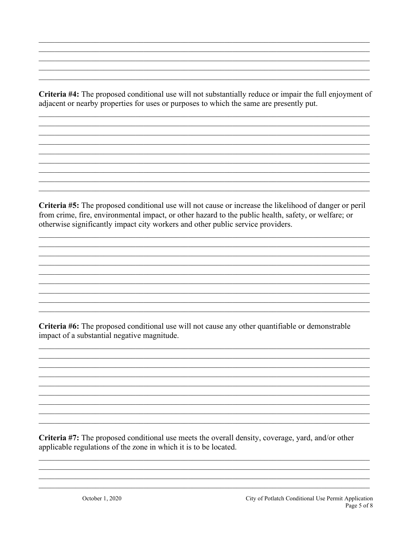Criteria #4: The proposed conditional use will not substantially reduce or impair the full enjoyment of adjacent or nearby properties for uses or purposes to which the same are presently put.

Criteria #5: The proposed conditional use will not cause or increase the likelihood of danger or peril from crime, fire, environmental impact, or other hazard to the public health, safety, or welfare; or otherwise significantly impact city workers and other public service providers.

Criteria #6: The proposed conditional use will not cause any other quantifiable or demonstrable impact of a substantial negative magnitude.

Criteria #7: The proposed conditional use meets the overall density, coverage, yard, and/or other applicable regulations of the zone in which it is to be located.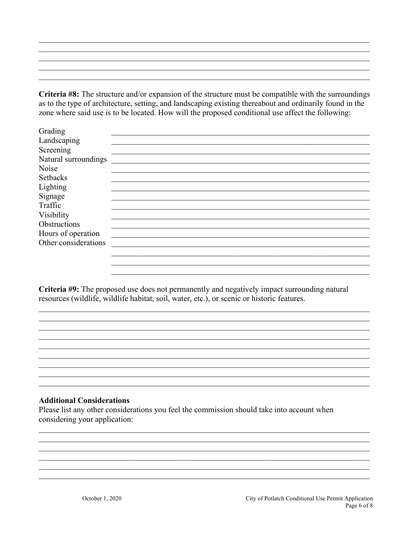Criteria #8: The structure and/or expansion of the structure must be compatible with the surroundings as to the type of architecture, setting, and landscaping existing thereabout and ordinarily found in the zone where said use is to be located. How will the proposed conditional use affect the following:

| Grading              |  |
|----------------------|--|
| Landscaping          |  |
| Screening            |  |
| Natural surroundings |  |
| Noise                |  |
| <b>Setbacks</b>      |  |
| Lighting             |  |
| Signage              |  |
| Traffic              |  |
| Visibility           |  |
| Obstructions         |  |
| Hours of operation   |  |
| Other considerations |  |
|                      |  |
|                      |  |

Criteria #9: The proposed use does not permanently and negatively impact surrounding natural resources (wildlife, wildlife habitat, soil, water, etc.), or scenic or historic features.

#### **Additional Considerations**

Please list any other considerations you feel the commission should take into account when considering your application: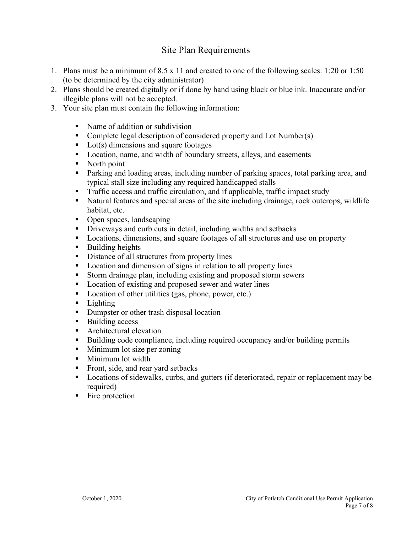### Site Plan Requirements

- 1. Plans must be a minimum of 8.5 x 11 and created to one of the following scales: 1:20 or 1:50 (to be determined by the city administrator)
- 2. Plans should be created digitally or if done by hand using black or blue ink. Inaccurate and/or illegible plans will not be accepted.
- 3. Your site plan must contain the following information:
	- Name of addition or subdivision
	- Complete legal description of considered property and Lot Number(s)
	- $\blacksquare$  Lot(s) dimensions and square footages
	- Location, name, and width of boundary streets, alleys, and easements
	- North point
	- **Parking and loading areas, including number of parking spaces, total parking area, and** typical stall size including any required handicapped stalls
	- **Traffic access and traffic circulation, and if applicable, traffic impact study**
	- Natural features and special areas of the site including drainage, rock outcrops, wildlife habitat, etc.
	- Open spaces, landscaping
	- **Driveways and curb cuts in detail, including widths and setbacks**
	- **Locations, dimensions, and square footages of all structures and use on property**
	- **Building heights**
	- Distance of all structures from property lines
	- **Location and dimension of signs in relation to all property lines**
	- Storm drainage plan, including existing and proposed storm sewers
	- Location of existing and proposed sewer and water lines
	- Location of other utilities (gas, phone, power, etc.)
	- **Lighting**
	- Dumpster or other trash disposal location
	- Building access
	- Architectural elevation
	- Building code compliance, including required occupancy and/or building permits
	- **Minimum lot size per zoning**
	- **Minimum lot width**
	- Front, side, and rear yard setbacks
	- **Locations of sidewalks, curbs, and gutters (if deteriorated, repair or replacement may be** required)
	- $\blacksquare$  Fire protection